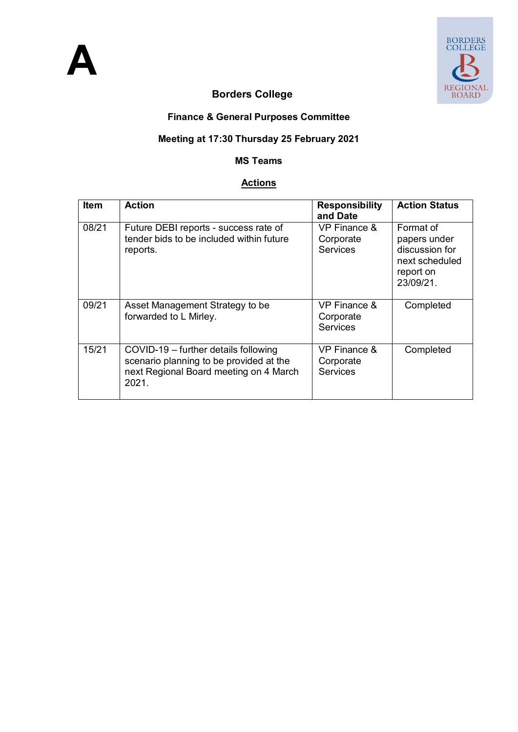

# **Borders College**

# **Finance & General Purposes Committee**

# **Meeting at 17:30 Thursday 25 February 2021**

#### **MS Teams**

#### **Actions**

| ltem  | <b>Action</b>                                                                                                                      | <b>Responsibility</b><br>and Date                       | <b>Action Status</b>                                                                    |
|-------|------------------------------------------------------------------------------------------------------------------------------------|---------------------------------------------------------|-----------------------------------------------------------------------------------------|
| 08/21 | Future DEBI reports - success rate of<br>tender bids to be included within future<br>reports.                                      | <b>VP Finance &amp;</b><br>Corporate<br><b>Services</b> | Format of<br>papers under<br>discussion for<br>next scheduled<br>report on<br>23/09/21. |
| 09/21 | Asset Management Strategy to be<br>forwarded to L Mirley.                                                                          | VP Finance &<br>Corporate<br><b>Services</b>            | Completed                                                                               |
| 15/21 | COVID-19 - further details following<br>scenario planning to be provided at the<br>next Regional Board meeting on 4 March<br>2021. | VP Finance &<br>Corporate<br><b>Services</b>            | Completed                                                                               |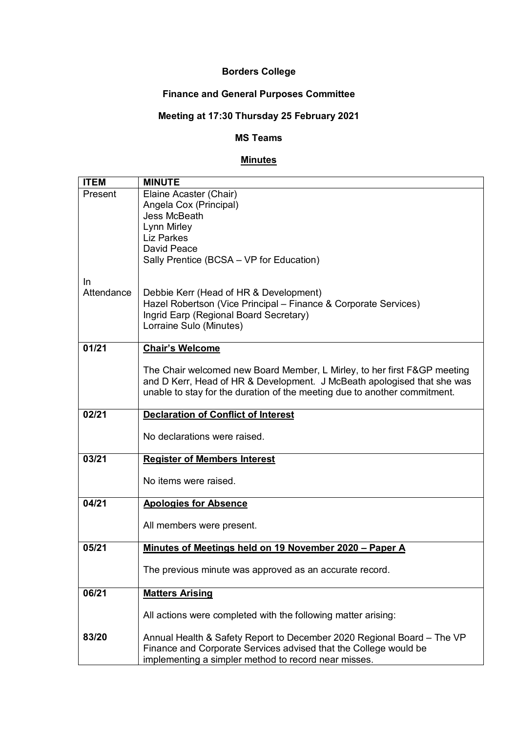#### **Borders College**

# **Finance and General Purposes Committee**

# **Meeting at 17:30 Thursday 25 February 2021**

# **MS Teams**

# **Minutes**

| <b>ITEM</b> | <b>MINUTE</b>                                                             |
|-------------|---------------------------------------------------------------------------|
| Present     | Elaine Acaster (Chair)                                                    |
|             | Angela Cox (Principal)                                                    |
|             | Jess McBeath                                                              |
|             | Lynn Mirley                                                               |
|             | <b>Liz Parkes</b>                                                         |
|             | David Peace                                                               |
|             | Sally Prentice (BCSA - VP for Education)                                  |
|             |                                                                           |
| In.         |                                                                           |
| Attendance  | Debbie Kerr (Head of HR & Development)                                    |
|             | Hazel Robertson (Vice Principal – Finance & Corporate Services)           |
|             | Ingrid Earp (Regional Board Secretary)                                    |
|             | Lorraine Sulo (Minutes)                                                   |
| 01/21       | <b>Chair's Welcome</b>                                                    |
|             |                                                                           |
|             | The Chair welcomed new Board Member, L Mirley, to her first F&GP meeting  |
|             | and D Kerr, Head of HR & Development. J McBeath apologised that she was   |
|             | unable to stay for the duration of the meeting due to another commitment. |
|             |                                                                           |
| 02/21       | <b>Declaration of Conflict of Interest</b>                                |
|             |                                                                           |
|             | No declarations were raised.                                              |
| 03/21       | <b>Register of Members Interest</b>                                       |
|             |                                                                           |
|             | No items were raised.                                                     |
|             |                                                                           |
| 04/21       | <b>Apologies for Absence</b>                                              |
|             |                                                                           |
|             | All members were present.                                                 |
| 05/21       |                                                                           |
|             | Minutes of Meetings held on 19 November 2020 - Paper A                    |
|             | The previous minute was approved as an accurate record.                   |
|             |                                                                           |
| 06/21       | <b>Matters Arising</b>                                                    |
|             |                                                                           |
|             | All actions were completed with the following matter arising:             |
|             |                                                                           |
| 83/20       | Annual Health & Safety Report to December 2020 Regional Board – The VP    |
|             | Finance and Corporate Services advised that the College would be          |
|             | implementing a simpler method to record near misses.                      |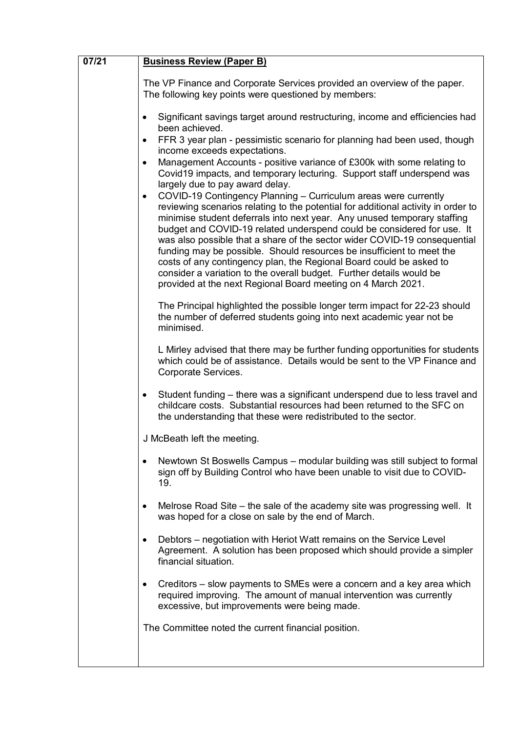| 07/21 | <b>Business Review (Paper B)</b>                                                                                                                                                                                                                                                                                                                                                                                                                                                                                                                                                                                                                                                             |  |
|-------|----------------------------------------------------------------------------------------------------------------------------------------------------------------------------------------------------------------------------------------------------------------------------------------------------------------------------------------------------------------------------------------------------------------------------------------------------------------------------------------------------------------------------------------------------------------------------------------------------------------------------------------------------------------------------------------------|--|
|       | The VP Finance and Corporate Services provided an overview of the paper.<br>The following key points were questioned by members:                                                                                                                                                                                                                                                                                                                                                                                                                                                                                                                                                             |  |
|       | Significant savings target around restructuring, income and efficiencies had<br>$\bullet$<br>been achieved.                                                                                                                                                                                                                                                                                                                                                                                                                                                                                                                                                                                  |  |
|       | FFR 3 year plan - pessimistic scenario for planning had been used, though<br>$\bullet$<br>income exceeds expectations.                                                                                                                                                                                                                                                                                                                                                                                                                                                                                                                                                                       |  |
|       | Management Accounts - positive variance of £300k with some relating to<br>$\bullet$<br>Covid19 impacts, and temporary lecturing. Support staff underspend was<br>largely due to pay award delay.                                                                                                                                                                                                                                                                                                                                                                                                                                                                                             |  |
|       | COVID-19 Contingency Planning - Curriculum areas were currently<br>$\bullet$<br>reviewing scenarios relating to the potential for additional activity in order to<br>minimise student deferrals into next year. Any unused temporary staffing<br>budget and COVID-19 related underspend could be considered for use. It<br>was also possible that a share of the sector wider COVID-19 consequential<br>funding may be possible. Should resources be insufficient to meet the<br>costs of any contingency plan, the Regional Board could be asked to<br>consider a variation to the overall budget. Further details would be<br>provided at the next Regional Board meeting on 4 March 2021. |  |
|       | The Principal highlighted the possible longer term impact for 22-23 should<br>the number of deferred students going into next academic year not be<br>minimised.                                                                                                                                                                                                                                                                                                                                                                                                                                                                                                                             |  |
|       | L Mirley advised that there may be further funding opportunities for students<br>which could be of assistance. Details would be sent to the VP Finance and<br>Corporate Services.                                                                                                                                                                                                                                                                                                                                                                                                                                                                                                            |  |
|       | Student funding – there was a significant underspend due to less travel and<br>$\bullet$<br>childcare costs. Substantial resources had been returned to the SFC on<br>the understanding that these were redistributed to the sector.                                                                                                                                                                                                                                                                                                                                                                                                                                                         |  |
|       | J McBeath left the meeting.                                                                                                                                                                                                                                                                                                                                                                                                                                                                                                                                                                                                                                                                  |  |
|       | Newtown St Boswells Campus - modular building was still subject to formal<br>sign off by Building Control who have been unable to visit due to COVID-<br>19.                                                                                                                                                                                                                                                                                                                                                                                                                                                                                                                                 |  |
|       | Melrose Road Site – the sale of the academy site was progressing well. It<br>٠<br>was hoped for a close on sale by the end of March.                                                                                                                                                                                                                                                                                                                                                                                                                                                                                                                                                         |  |
|       | Debtors - negotiation with Heriot Watt remains on the Service Level<br>Agreement. A solution has been proposed which should provide a simpler<br>financial situation.                                                                                                                                                                                                                                                                                                                                                                                                                                                                                                                        |  |
|       | Creditors - slow payments to SMEs were a concern and a key area which<br>٠<br>required improving. The amount of manual intervention was currently<br>excessive, but improvements were being made.                                                                                                                                                                                                                                                                                                                                                                                                                                                                                            |  |
|       | The Committee noted the current financial position.                                                                                                                                                                                                                                                                                                                                                                                                                                                                                                                                                                                                                                          |  |
|       |                                                                                                                                                                                                                                                                                                                                                                                                                                                                                                                                                                                                                                                                                              |  |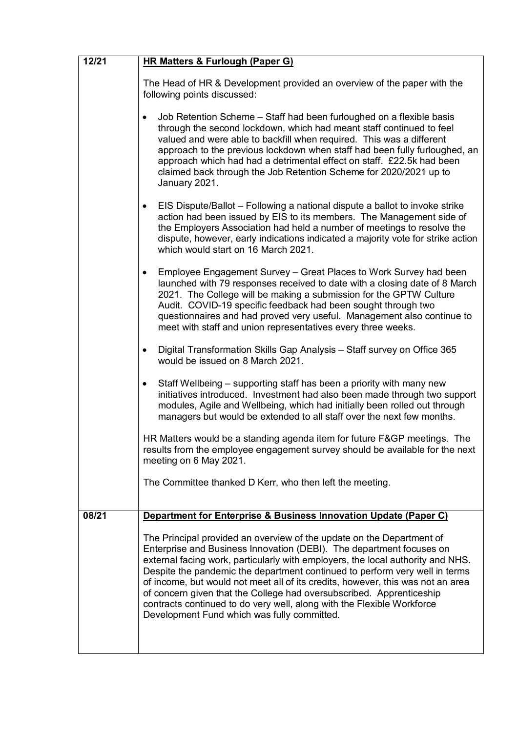| 12/21 | <b>HR Matters &amp; Furlough (Paper G)</b>                                                                                                                                                                                                                                                                                                                                                                                                                                                                                                                                                          |  |
|-------|-----------------------------------------------------------------------------------------------------------------------------------------------------------------------------------------------------------------------------------------------------------------------------------------------------------------------------------------------------------------------------------------------------------------------------------------------------------------------------------------------------------------------------------------------------------------------------------------------------|--|
|       | The Head of HR & Development provided an overview of the paper with the<br>following points discussed:                                                                                                                                                                                                                                                                                                                                                                                                                                                                                              |  |
|       | Job Retention Scheme - Staff had been furloughed on a flexible basis<br>$\bullet$<br>through the second lockdown, which had meant staff continued to feel<br>valued and were able to backfill when required. This was a different<br>approach to the previous lockdown when staff had been fully furloughed, an<br>approach which had had a detrimental effect on staff. £22.5k had been<br>claimed back through the Job Retention Scheme for 2020/2021 up to<br>January 2021.                                                                                                                      |  |
|       | EIS Dispute/Ballot – Following a national dispute a ballot to invoke strike<br>٠<br>action had been issued by EIS to its members. The Management side of<br>the Employers Association had held a number of meetings to resolve the<br>dispute, however, early indications indicated a majority vote for strike action<br>which would start on 16 March 2021.                                                                                                                                                                                                                                        |  |
|       | Employee Engagement Survey – Great Places to Work Survey had been<br>$\bullet$<br>launched with 79 responses received to date with a closing date of 8 March<br>2021. The College will be making a submission for the GPTW Culture<br>Audit. COVID-19 specific feedback had been sought through two<br>questionnaires and had proved very useful. Management also continue to<br>meet with staff and union representatives every three weeks.                                                                                                                                                       |  |
|       | Digital Transformation Skills Gap Analysis - Staff survey on Office 365<br>$\bullet$<br>would be issued on 8 March 2021.                                                                                                                                                                                                                                                                                                                                                                                                                                                                            |  |
|       | Staff Wellbeing – supporting staff has been a priority with many new<br>٠<br>initiatives introduced. Investment had also been made through two support<br>modules, Agile and Wellbeing, which had initially been rolled out through<br>managers but would be extended to all staff over the next few months.                                                                                                                                                                                                                                                                                        |  |
|       | HR Matters would be a standing agenda item for future F&GP meetings. The<br>results from the employee engagement survey should be available for the next<br>meeting on 6 May 2021.                                                                                                                                                                                                                                                                                                                                                                                                                  |  |
|       | The Committee thanked D Kerr, who then left the meeting.                                                                                                                                                                                                                                                                                                                                                                                                                                                                                                                                            |  |
| 08/21 | Department for Enterprise & Business Innovation Update (Paper C)                                                                                                                                                                                                                                                                                                                                                                                                                                                                                                                                    |  |
|       | The Principal provided an overview of the update on the Department of<br>Enterprise and Business Innovation (DEBI). The department focuses on<br>external facing work, particularly with employers, the local authority and NHS.<br>Despite the pandemic the department continued to perform very well in terms<br>of income, but would not meet all of its credits, however, this was not an area<br>of concern given that the College had oversubscribed. Apprenticeship<br>contracts continued to do very well, along with the Flexible Workforce<br>Development Fund which was fully committed. |  |
|       |                                                                                                                                                                                                                                                                                                                                                                                                                                                                                                                                                                                                     |  |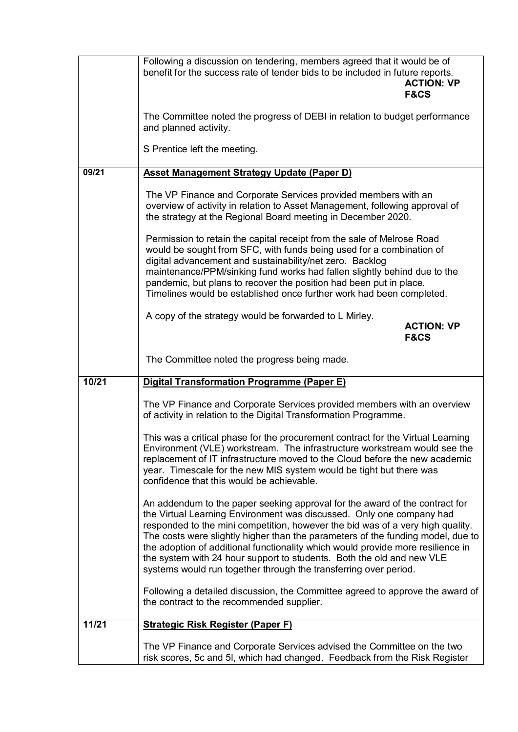|       | Following a discussion on tendering, members agreed that it would be of<br>benefit for the success rate of tender bids to be included in future reports.<br><b>ACTION: VP</b><br><b>F&amp;CS</b><br>The Committee noted the progress of DEBI in relation to budget performance<br>and planned activity.<br>S Prentice left the meeting.                                                                                                                                                                                                                  |  |
|-------|----------------------------------------------------------------------------------------------------------------------------------------------------------------------------------------------------------------------------------------------------------------------------------------------------------------------------------------------------------------------------------------------------------------------------------------------------------------------------------------------------------------------------------------------------------|--|
|       |                                                                                                                                                                                                                                                                                                                                                                                                                                                                                                                                                          |  |
| 09/21 | <b>Asset Management Strategy Update (Paper D)</b><br>The VP Finance and Corporate Services provided members with an<br>overview of activity in relation to Asset Management, following approval of<br>the strategy at the Regional Board meeting in December 2020.                                                                                                                                                                                                                                                                                       |  |
|       | Permission to retain the capital receipt from the sale of Melrose Road<br>would be sought from SFC, with funds being used for a combination of<br>digital advancement and sustainability/net zero. Backlog<br>maintenance/PPM/sinking fund works had fallen slightly behind due to the<br>pandemic, but plans to recover the position had been put in place.<br>Timelines would be established once further work had been completed.                                                                                                                     |  |
|       | A copy of the strategy would be forwarded to L Mirley.<br><b>ACTION: VP</b><br><b>F&amp;CS</b>                                                                                                                                                                                                                                                                                                                                                                                                                                                           |  |
|       | The Committee noted the progress being made.                                                                                                                                                                                                                                                                                                                                                                                                                                                                                                             |  |
| 10/21 | Digital Transformation Programme (Paper E)                                                                                                                                                                                                                                                                                                                                                                                                                                                                                                               |  |
|       | The VP Finance and Corporate Services provided members with an overview<br>of activity in relation to the Digital Transformation Programme.                                                                                                                                                                                                                                                                                                                                                                                                              |  |
|       | This was a critical phase for the procurement contract for the Virtual Learning<br>Environment (VLE) workstream. The infrastructure workstream would see the<br>replacement of IT infrastructure moved to the Cloud before the new academic<br>year. Timescale for the new MIS system would be tight but there was<br>confidence that this would be achievable.                                                                                                                                                                                          |  |
|       | An addendum to the paper seeking approval for the award of the contract for<br>the Virtual Learning Environment was discussed. Only one company had<br>responded to the mini competition, however the bid was of a very high quality.<br>The costs were slightly higher than the parameters of the funding model, due to<br>the adoption of additional functionality which would provide more resilience in<br>the system with 24 hour support to students. Both the old and new VLE<br>systems would run together through the transferring over period. |  |
|       | Following a detailed discussion, the Committee agreed to approve the award of<br>the contract to the recommended supplier.                                                                                                                                                                                                                                                                                                                                                                                                                               |  |
| 11/21 | <b>Strategic Risk Register (Paper F)</b>                                                                                                                                                                                                                                                                                                                                                                                                                                                                                                                 |  |
|       | The VP Finance and Corporate Services advised the Committee on the two<br>risk scores, 5c and 5I, which had changed. Feedback from the Risk Register                                                                                                                                                                                                                                                                                                                                                                                                     |  |